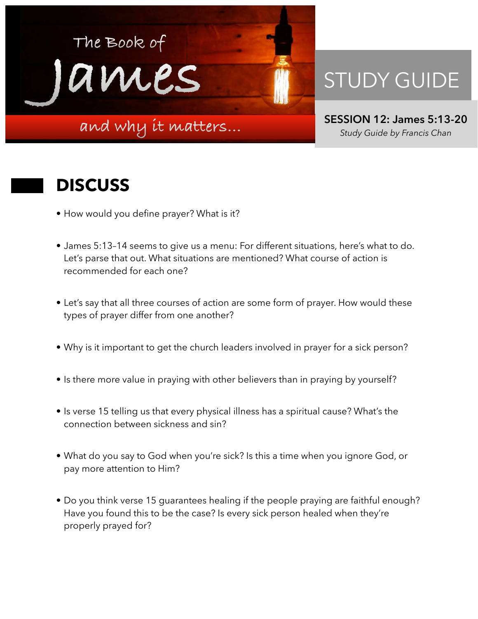

## STUDY GUIDE

**SESSION 12: James 5:13-20**  *Study Guide by Francis Chan*

## **DISCUSS**

- How would you define prayer? What is it?
- James 5:13–14 seems to give us a menu: For different situations, here's what to do. Let's parse that out. What situations are mentioned? What course of action is recommended for each one?
- Let's say that all three courses of action are some form of prayer. How would these types of prayer differ from one another?
- Why is it important to get the church leaders involved in prayer for a sick person?
- Is there more value in praying with other believers than in praying by yourself?
- Is verse 15 telling us that every physical illness has a spiritual cause? What's the connection between sickness and sin?
- What do you say to God when you're sick? Is this a time when you ignore God, or pay more attention to Him?
- Do you think verse 15 guarantees healing if the people praying are faithful enough? Have you found this to be the case? Is every sick person healed when they're properly prayed for?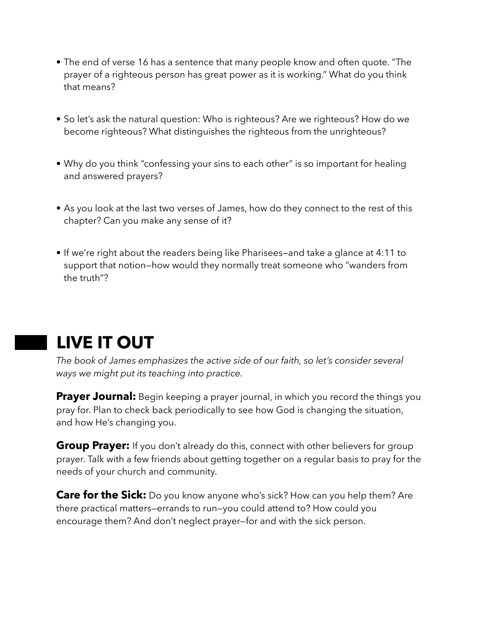- The end of verse 16 has a sentence that many people know and often quote. "The prayer of a righteous person has great power as it is working." What do you think that means?
- So let's ask the natural question: Who is righteous? Are we righteous? How do we become righteous? What distinguishes the righteous from the unrighteous?
- Why do you think "confessing your sins to each other" is so important for healing and answered prayers?
- As you look at the last two verses of James, how do they connect to the rest of this chapter? Can you make any sense of it?
- If we're right about the readers being like Pharisees—and take a glance at 4:11 to support that notion—how would they normally treat someone who "wanders from the truth"?

## **LIVE IT OUT**

*The book of James emphasizes the active side of our faith, so let's consider several ways we might put its teaching into practice.* 

**Prayer Journal:** Begin keeping a prayer journal, in which you record the things you pray for. Plan to check back periodically to see how God is changing the situation, and how He's changing you.

**Group Prayer:** If you don't already do this, connect with other believers for group prayer. Talk with a few friends about getting together on a regular basis to pray for the needs of your church and community.

**Care for the Sick:** Do you know anyone who's sick? How can you help them? Are there practical matters—errands to run—you could attend to? How could you encourage them? And don't neglect prayer—for and with the sick person.